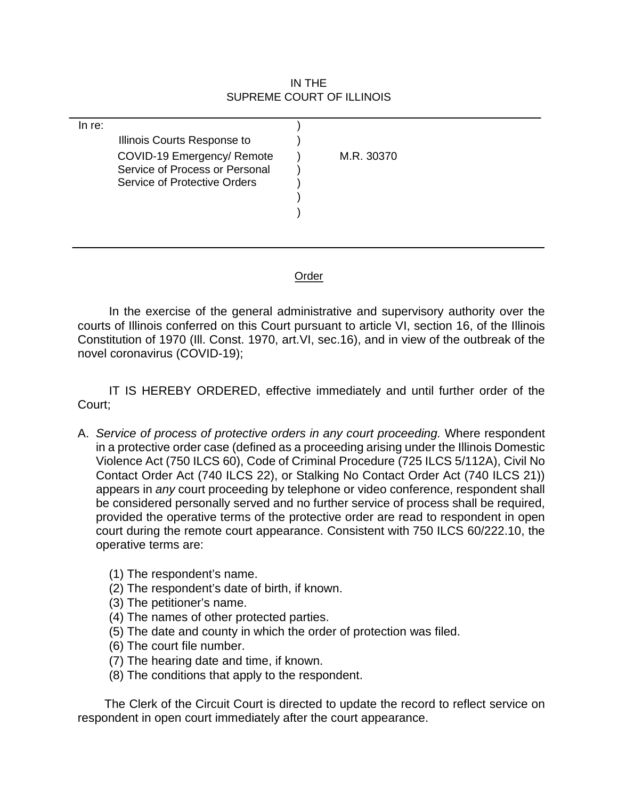## IN THE SUPREME COURT OF ILLINOIS

| In re: |                                     |            |
|--------|-------------------------------------|------------|
|        | Illinois Courts Response to         |            |
|        | COVID-19 Emergency/ Remote          | M.R. 30370 |
|        | Service of Process or Personal      |            |
|        | <b>Service of Protective Orders</b> |            |
|        |                                     |            |
|        |                                     |            |
|        |                                     |            |
|        |                                     |            |

## Order

 Constitution of 1970 (Ill. Const. 1970, art.VI, sec.16), and in view of the outbreak of the In the exercise of the general administrative and supervisory authority over the courts of Illinois conferred on this Court pursuant to article VI, section 16, of the Illinois novel coronavirus (COVID-19);

 IT IS HEREBY ORDERED, effective immediately and until further order of the Court;

- A. *Service of process of protective orders in any court proceeding.* Where respondent in a protective order case (defined as a proceeding arising under the Illinois Domestic Violence Act (750 ILCS 60), Code of Criminal Procedure (725 ILCS 5/112A), Civil No Contact Order Act (740 ILCS 22), or Stalking No Contact Order Act (740 ILCS 21)) appears in *any* court proceeding by telephone or video conference, respondent shall be considered personally served and no further service of process shall be required, provided the operative terms of the protective order are read to respondent in open court during the remote court appearance. Consistent with 750 ILCS [60/222.10,](https://60/222.10) the operative terms are:
	- (1) The respondent's name.
	- (2) The respondent's date of birth, if known.
	- (3) The petitioner's name.
	- (4) The names of other protected parties.
	- (5) The date and county in which the order of protection was filed.
	- (6) The court file number.
	- (7) The hearing date and time, if known.
	- (8) The conditions that apply to the respondent.

The Clerk of the Circuit Court is directed to update the record to reflect service on respondent in open court immediately after the court appearance.